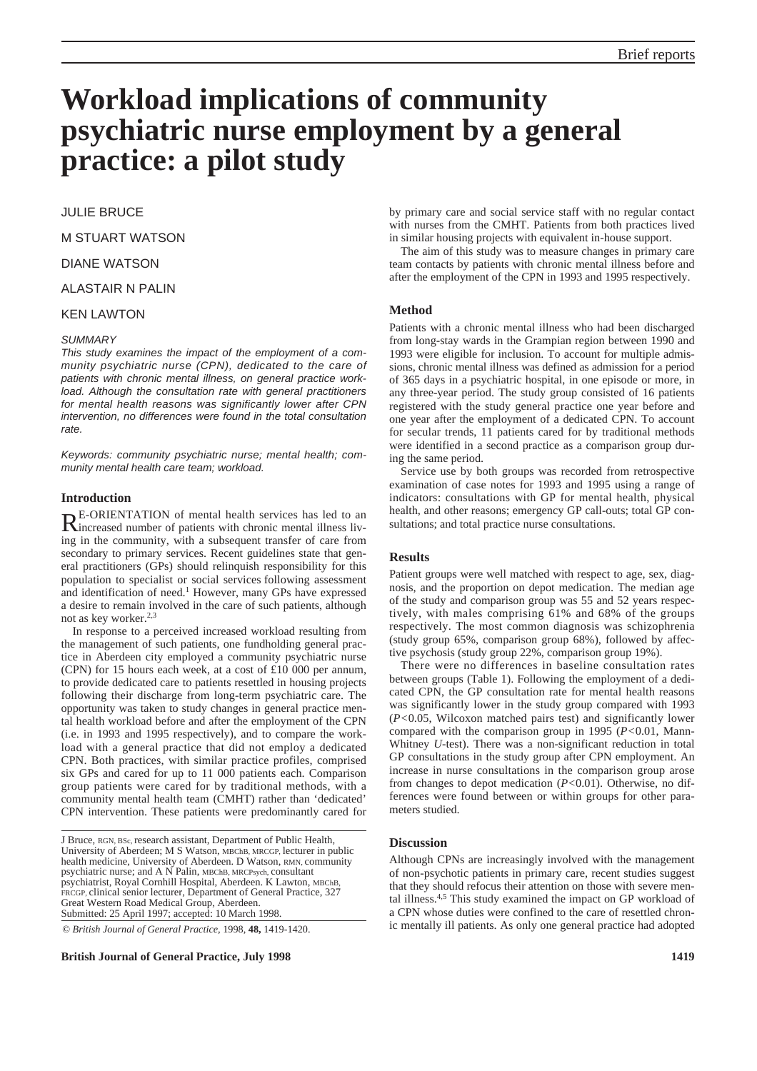# **Workload implications of community psychiatric nurse employment by a general practice: a pilot study**

# JULIE BRUCE

M STUART WATSON

DIANE WATSON

# ALASTAIR N PALIN

# KEN LAWTON

#### *SUMMARY*

*This study examines the impact of the employment of a community psychiatric nurse (CPN), dedicated to the care of patients with chronic mental illness, on general practice workload. Although the consultation rate with general practitioners for mental health reasons was significantly lower after CPN intervention, no differences were found in the total consultation rate.*

*Keywords: community psychiatric nurse; mental health; community mental health care team; workload.*

# **Introduction**

RE-ORIENTATION of mental health services has led to an increased number of patients with chronic mental illness living in the community, with a subsequent transfer of care from secondary to primary services. Recent guidelines state that general practitioners (GPs) should relinquish responsibility for this population to specialist or social services following assessment and identification of need.<sup>1</sup> However, many GPs have expressed a desire to remain involved in the care of such patients, although not as key worker.2,3

In response to a perceived increased workload resulting from the management of such patients, one fundholding general practice in Aberdeen city employed a community psychiatric nurse (CPN) for 15 hours each week, at a cost of £10 000 per annum, to provide dedicated care to patients resettled in housing projects following their discharge from long-term psychiatric care. The opportunity was taken to study changes in general practice mental health workload before and after the employment of the CPN (i.e. in 1993 and 1995 respectively), and to compare the workload with a general practice that did not employ a dedicated CPN. Both practices, with similar practice profiles, comprised six GPs and cared for up to 11 000 patients each. Comparison group patients were cared for by traditional methods, with a community mental health team (CMHT) rather than 'dedicated' CPN intervention. These patients were predominantly cared for

J Bruce, RGN, BSc, research assistant, Department of Public Health, University of Aberdeen; M S Watson, MBChB, MRCGP, lecturer in public health medicine, University of Aberdeen. D Watson, RMN, community psychiatric nurse; and A N Palin, MBChB, MRCPsych, consultant psychiatrist, Royal Cornhill Hospital, Aberdeen. K Lawton, MBChB, FRCGP, clinical senior lecturer, Department of General Practice, 327 Great Western Road Medical Group, Aberdeen. Submitted: 25 April 1997; accepted: 10 March 1998.

© *British Journal of General Practice,* 1998, **48,** 1419-1420.

**British Journal of General Practice, July 1998 1419**

by primary care and social service staff with no regular contact with nurses from the CMHT. Patients from both practices lived in similar housing projects with equivalent in-house support.

The aim of this study was to measure changes in primary care team contacts by patients with chronic mental illness before and after the employment of the CPN in 1993 and 1995 respectively.

#### **Method**

Patients with a chronic mental illness who had been discharged from long-stay wards in the Grampian region between 1990 and 1993 were eligible for inclusion. To account for multiple admissions, chronic mental illness was defined as admission for a period of 365 days in a psychiatric hospital, in one episode or more, in any three-year period. The study group consisted of 16 patients registered with the study general practice one year before and one year after the employment of a dedicated CPN. To account for secular trends, 11 patients cared for by traditional methods were identified in a second practice as a comparison group during the same period.

Service use by both groups was recorded from retrospective examination of case notes for 1993 and 1995 using a range of indicators: consultations with GP for mental health, physical health, and other reasons; emergency GP call-outs; total GP consultations; and total practice nurse consultations.

### **Results**

Patient groups were well matched with respect to age, sex, diagnosis, and the proportion on depot medication. The median age of the study and comparison group was 55 and 52 years respectively, with males comprising 61% and 68% of the groups respectively. The most common diagnosis was schizophrenia (study group 65%, comparison group 68%), followed by affective psychosis (study group 22%, comparison group 19%).

There were no differences in baseline consultation rates between groups (Table 1). Following the employment of a dedicated CPN, the GP consultation rate for mental health reasons was significantly lower in the study group compared with 1993 (*P<*0.05, Wilcoxon matched pairs test) and significantly lower compared with the comparison group in 1995 (*P<*0.01, Mann-Whitney *U*-test). There was a non-significant reduction in total GP consultations in the study group after CPN employment. An increase in nurse consultations in the comparison group arose from changes to depot medication (*P<*0.01). Otherwise, no differences were found between or within groups for other parameters studied.

#### **Discussion**

Although CPNs are increasingly involved with the management of non-psychotic patients in primary care, recent studies suggest that they should refocus their attention on those with severe mental illness.4,5 This study examined the impact on GP workload of a CPN whose duties were confined to the care of resettled chronic mentally ill patients. As only one general practice had adopted